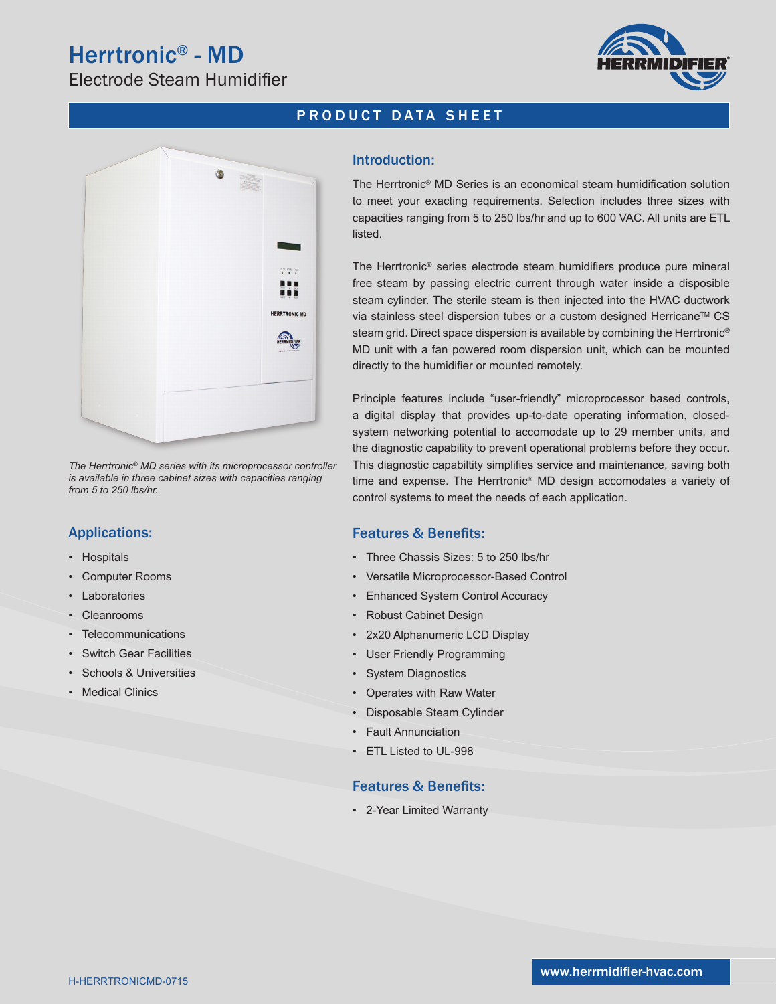# Herrtronic® - MD

Electrode Steam Humidifier



## PRODUCT DATA SHEET



*The Herrtronic® MD series with its microprocessor controller is available in three cabinet sizes with capacities ranging from 5 to 250 lbs/hr.*

## Applications:

- Hospitals
- Computer Rooms
- **Laboratories**
- **Cleanrooms**
- Telecommunications
- **Switch Gear Facilities**
- Schools & Universities
- Medical Clinics

#### Introduction:

The Herrtronic® MD Series is an economical steam humidification solution to meet your exacting requirements. Selection includes three sizes with capacities ranging from 5 to 250 lbs/hr and up to 600 VAC. All units are ETL listed.

The Herrtronic® series electrode steam humidifiers produce pure mineral free steam by passing electric current through water inside a disposible steam cylinder. The sterile steam is then injected into the HVAC ductwork via stainless steel dispersion tubes or a custom designed Herricane™ CS steam grid. Direct space dispersion is available by combining the Herrtronic<sup>®</sup> MD unit with a fan powered room dispersion unit, which can be mounted directly to the humidifier or mounted remotely.

Principle features include "user-friendly" microprocessor based controls, a digital display that provides up-to-date operating information, closedsystem networking potential to accomodate up to 29 member units, and the diagnostic capability to prevent operational problems before they occur. This diagnostic capabiltity simplifies service and maintenance, saving both time and expense. The Herrtronic® MD design accomodates a variety of control systems to meet the needs of each application.

### Features & Benefits:

- Three Chassis Sizes: 5 to 250 lbs/hr
- Versatile Microprocessor-Based Control
- Enhanced System Control Accuracy
- Robust Cabinet Design
- 2x20 Alphanumeric LCD Display
- User Friendly Programming
- System Diagnostics
- Operates with Raw Water
- Disposable Steam Cylinder
- Fault Annunciation
- ETL Listed to UL-998

#### Features & Benefits:

• 2-Year Limited Warranty